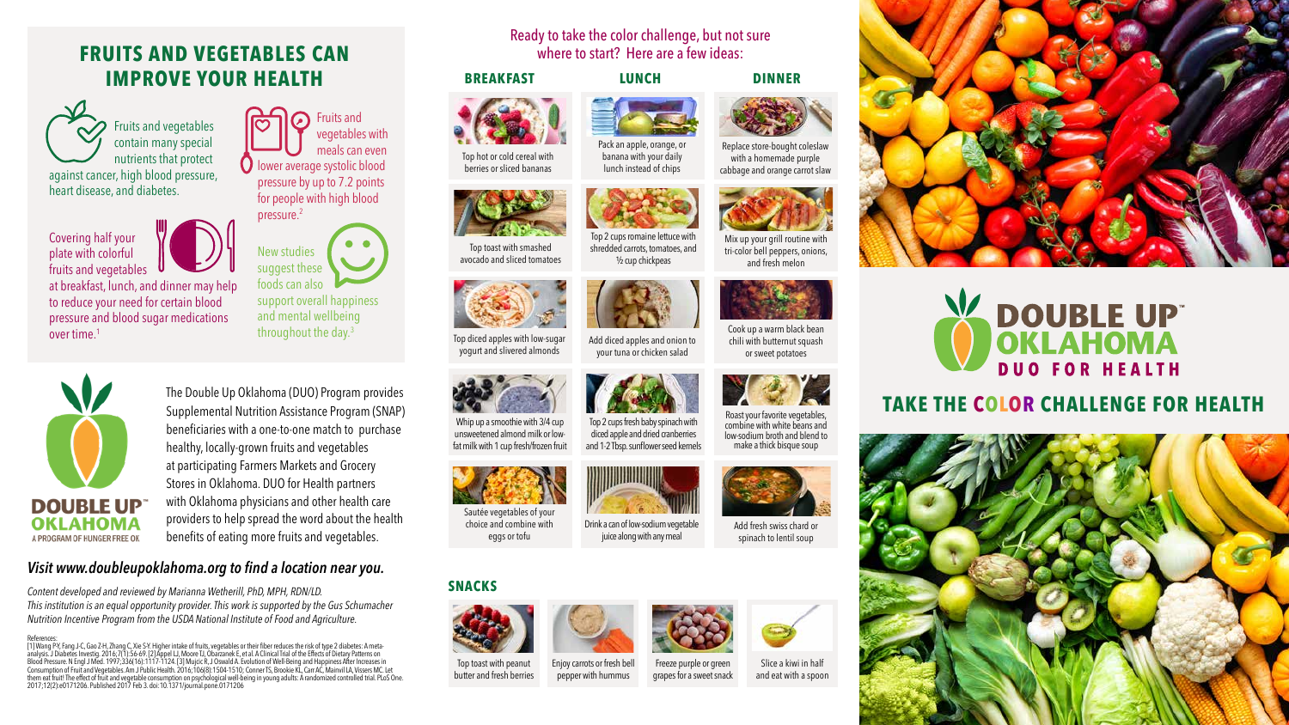#### **BREAKFAST LUNCH DINNER**



**SNACKS**

Top hot or cold cereal with berries or sliced bananas



# Pack an apple, orange, or

banana with your daily lunch instead of chips





Replace store-bought coleslaw with a homemade purple cabbage and orange carrot slaw

Top toast with smashed avocado and sliced tomatoes



Top 2 cups romaine lettuce with shredded carrots, tomatoes, and ½ cup chickpeas







tri-color bell peppers, onions, and fresh melon





Top diced apples with low-sugar yogurt and slivered almonds



Add diced apples and onion to your tuna or chicken salad





chili with butternut squash or sweet potatoes







## **DOUBLE UP OKLAHOMA DUO FOR HEALTH TAKE THE COLOR CHALLENGE FOR HEALTH**



Whip up a smoothie with 3/4 cup unsweetened almond milk or lowfat milk with 1 cup fresh/frozen fruit



Top 2 cups fresh baby spinach with diced apple and dried cranberries and 1-2 Tbsp. sunflower seed kernels





combine with white beans and low-sodium broth and blend to make a thick bisque soup

Sautée vegetables of your choice and combine with eggs or tofu

Drink a can of low-sodium vegetable juice along with any meal



Add fresh swiss chard or spinach to lentil soup

Top toast with peanut butter and fresh berries



Slice a kiwi in half and eat with a spoon







Enjoy carrots or fresh bell pepper with hummus



### **FRUITS AND VEGETABLES CAN IMPROVE YOUR HEALTH**

Fruits and vegetables with meals can even  $\bigcirc$  lower average systolic blood pressure by up to 7.2 points for people with high blood pressure.2

> New studies suggest these foods can also support overall happiness and mental wellbeing throughout the day.3

Covering half your plate with colorful fruits and vegetables

at breakfast, lunch, and dinner may help to reduce your need for certain blood pressure and blood sugar medications over time.1



Fruits and vegetables contain many special nutrients that protect against cancer, high blood pressure, heart disease, and diabetes.

> The Double Up Oklahoma (DUO) Program provides Supplemental Nutrition Assistance Program (SNAP) beneficiaries with a one-to-one match to purchase healthy, locally-grown fruits and vegetables at participating Farmers Markets and Grocery Stores in Oklahoma. DUO for Health partners with Oklahoma physicians and other health care providers to help spread the word about the health benefits of eating more fruits and vegetables.

### *Visit www.doubleupoklahoma.org to find a location near you.*

*Content developed and reviewed by Marianna Wetherill, PhD, MPH, RDN/LD. This institution is an equal opportunity provider. This work is supported by the Gus Schumacher Nutrition Incentive Program from the USDA National Institute of Food and Agriculture.*

References:<br>[1] Wang P-Y, Fang J-C, Gao Z-H, Zhang C, Xie S-Y. Higher intake of fruits, vegetables or their fiber reduces the risk of type 2 diabetes: A meta-<br>[1] Wang P-Y, Fang J-C, Gao Z-H, Zhang C, Xie S-Y. Higher II, M

### Ready to take the color challenge, but not sure where to start? Here are a few ideas: